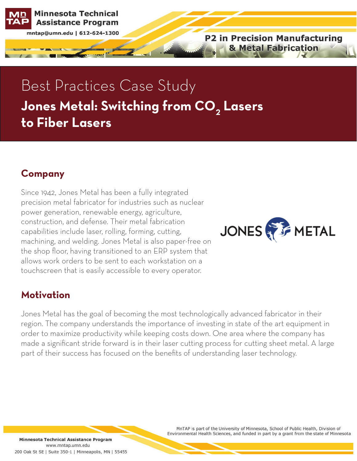**Minnesota Technical Assistance Program** 

mntap@umn.edu | 612-624-1300

**P2 in Precision Manufacturing & Metal Fabrication** 

# Best Practices Case Study Jones Metal: Switching from CO<sub>2</sub> Lasers **to Fiber Lasers**

### **Company**

Since 1942, Jones Metal has been a fully integrated precision metal fabricator for industries such as nuclear power generation, renewable energy, agriculture, construction, and defense. Their metal fabrication capabilities include laser, rolling, forming, cutting, machining, and welding. Jones Metal is also paper-free on the shop floor, having transitioned to an ERP system that allows work orders to be sent to each workstation on a touchscreen that is easily accessible to every operator.



#### **Motivation**

Jones Metal has the goal of becoming the most technologically advanced fabricator in their region. The company understands the importance of investing in state of the art equipment in order to maximize productivity while keeping costs down. One area where the company has made a significant stride forward is in their laser cutting process for cutting sheet metal. A large part of their success has focused on the benefits of understanding laser technology.

> MnTAP is part of the University of Minnesota, School of Public Health, Division of Environmental Health Sciences, and funded in part by a grant from the state of Minnesota

Minnesota Technical Assistance Program www.mntap.umn.edu 200 Oak St SE | Suite 350-1 | Minneapolis, MN | 55455